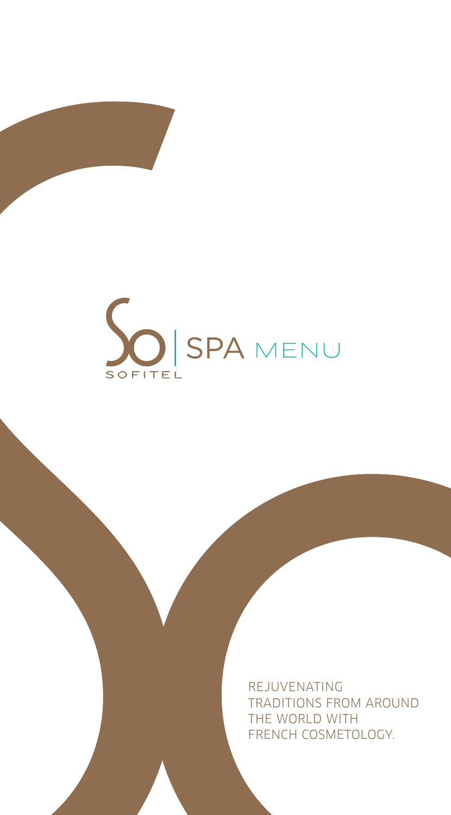

REJUVENATING TRADITIONS FROM AROUND THE WORLD WITH FRENCH COSMETOLOGY.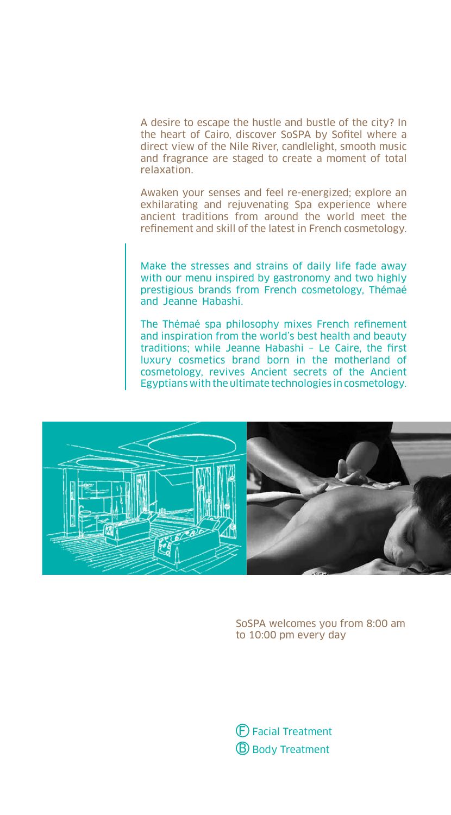A desire to escape the hustle and bustle of the city? In the heart of Cairo, discover SoSPA by Sofitel where a direct view of the Nile River, candlelight, smooth music and fragrance are staged to create a moment of total relaxation.

Awaken your senses and feel re-energized; explore an exhilarating and rejuvenating Spa experience where ancient traditions from around the world meet the refinement and skill of the latest in French cosmetology.

Make the stresses and strains of daily life fade away with our menu inspired by gastronomy and two highly prestigious brands from French cosmetology, Thémaé and Jeanne Habashi.

The Thémaé spa philosophy mixes French refinement and inspiration from the world's best health and beauty traditions; while Jeanne Habashi – Le Caire, the first luxury cosmetics brand born in the motherland of cosmetology, revives Ancient secrets of the Ancient Egyptians with the ultimate technologies in cosmetology.



SoSPA welcomes you from 8:00 am to 10:00 pm every day

F Facial Treatment **B** Body Treatment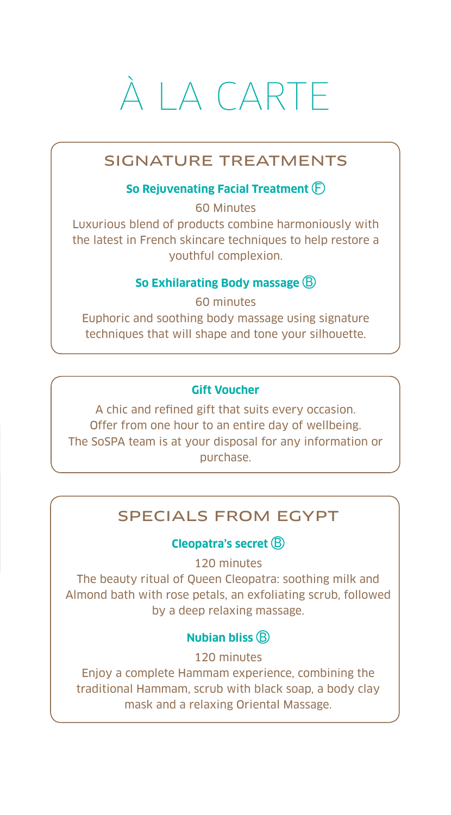# À LA CARTE

# SIGNATURE TREATMENTS

# **So Rejuvenating Facial Treatment** F

60 Minutes Luxurious blend of products combine harmoniously with the latest in French skincare techniques to help restore a youthful complexion.

#### **So Exhilarating Body massage** B

60 minutes Euphoric and soothing body massage using signature techniques that will shape and tone your silhouette.

#### **Gift Voucher**

A chic and refined gift that suits every occasion. Offer from one hour to an entire day of wellbeing. The SoSPA team is at your disposal for any information or purchase.

# SPECIALS FROM EGYPT

#### **Cleopatra's secret**  $\textcircled{B}$

120 minutes

The beauty ritual of Queen Cleopatra: soothing milk and Almond bath with rose petals, an exfoliating scrub, followed by a deep relaxing massage.

# **Nubian bliss**  $\circledR$

120 minutes

Enjoy a complete Hammam experience, combining the traditional Hammam, scrub with black soap, a body clay mask and a relaxing Oriental Massage.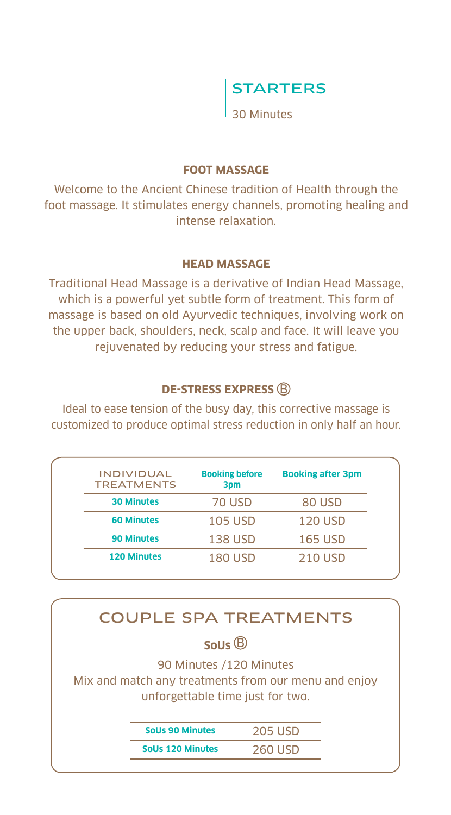

#### **FOOT MASSAGE**

Welcome to the Ancient Chinese tradition of Health through the foot massage. It stimulates energy channels, promoting healing and intense relaxation.

#### **HEAD MASSAGE**

Traditional Head Massage is a derivative of Indian Head Massage, which is a powerful yet subtle form of treatment. This form of massage is based on old Ayurvedic techniques, involving work on the upper back, shoulders, neck, scalp and face. It will leave you rejuvenated by reducing your stress and fatigue.

# **DE-STRESS EXPRESS B**

Ideal to ease tension of the busy day, this corrective massage is customized to produce optimal stress reduction in only half an hour.

| <b>INDIVIDUAL</b><br><b>TREATMENTS</b> | <b>Booking before</b><br>3 <sub>pm</sub> | <b>Booking after 3pm</b> |
|----------------------------------------|------------------------------------------|--------------------------|
| <b>30 Minutes</b>                      | 70 USD                                   | 80 USD                   |
| <b>60 Minutes</b>                      | <b>105 USD</b>                           | <b>120 USD</b>           |
| <b>90 Minutes</b>                      | <b>138 USD</b>                           | <b>165 USD</b>           |
| <b>120 Minutes</b>                     | <b>180 USD</b>                           | <b>210 USD</b>           |

| <b>COUPLE SPA TREATMENTS</b>                                                                                        |                         |                |  |  |
|---------------------------------------------------------------------------------------------------------------------|-------------------------|----------------|--|--|
| SoUs $\circledR$                                                                                                    |                         |                |  |  |
| 90 Minutes /120 Minutes<br>Mix and match any treatments from our menu and enjoy<br>unforgettable time just for two. |                         |                |  |  |
|                                                                                                                     | <b>Solls 90 Minutes</b> | <b>205 USD</b> |  |  |
|                                                                                                                     | Solls 120 Minutes       | 260 USD        |  |  |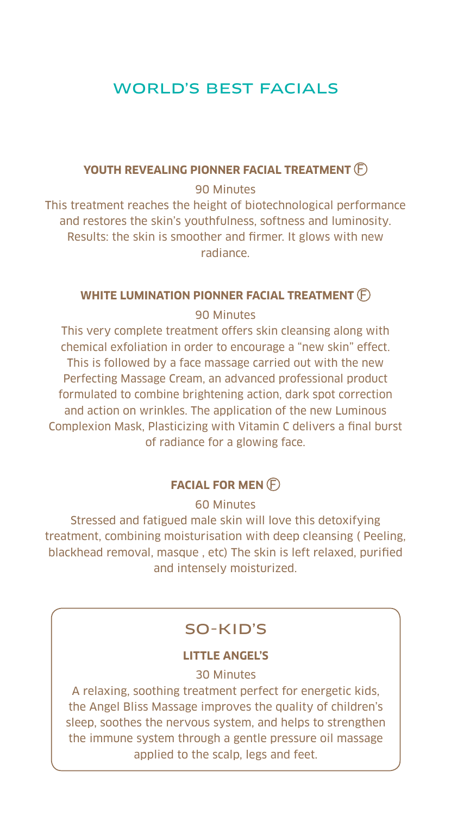# WORLD'S BEST FACIALS

#### **YOUTH REVEALING PIONNER FACIAL TREATMENT**  $\left(\widehat{F}\right)$

#### 90 Minutes

This treatment reaches the height of biotechnological performance and restores the skin's youthfulness, softness and luminosity. Results: the skin is smoother and firmer. It glows with new radiance.

#### **WHITE LUMINATION PIONNER FACIAL TREATMENT**  $(F)$

#### 90 Minutes

This very complete treatment offers skin cleansing along with chemical exfoliation in order to encourage a "new skin" effect. This is followed by a face massage carried out with the new Perfecting Massage Cream, an advanced professional product formulated to combine brightening action, dark spot correction and action on wrinkles. The application of the new Luminous Complexion Mask, Plasticizing with Vitamin C delivers a final burst of radiance for a glowing face.

# **FACIAL FOR MEN** F

#### 60 Minutes

Stressed and fatigued male skin will love this detoxifying treatment, combining moisturisation with deep cleansing ( Peeling, blackhead removal, masque , etc) The skin is left relaxed, purified and intensely moisturized.

# SO-KID'S

#### **LITTLE ANGEL'S**

30 Minutes

A relaxing, soothing treatment perfect for energetic kids, the Angel Bliss Massage improves the quality of children's sleep, soothes the nervous system, and helps to strengthen the immune system through a gentle pressure oil massage applied to the scalp, legs and feet.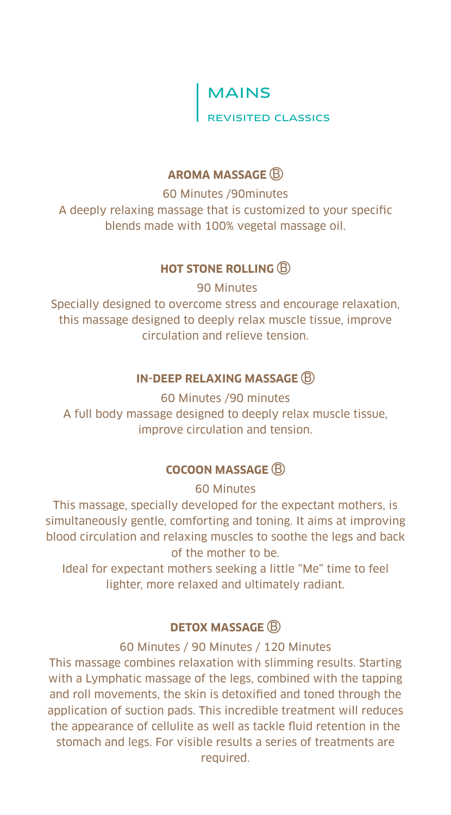MAINS

REVISITED CLASSICS

# **AROMA MASSAGE**  $\textcircled{R}$

60 Minutes /90minutes A deeply relaxing massage that is customized to your specific blends made with 100% vegetal massage oil.

# **HOT STONE ROLLING B**

 90 Minutes Specially designed to overcome stress and encourage relaxation, this massage designed to deeply relax muscle tissue, improve circulation and relieve tension.

# **IN-DEEP RELAXING MASSAGE B**

60 Minutes /90 minutes A full body massage designed to deeply relax muscle tissue, improve circulation and tension.

# **COCOON MASSAGE B**

60 Minutes

This massage, specially developed for the expectant mothers, is simultaneously gentle, comforting and toning. It aims at improving blood circulation and relaxing muscles to soothe the legs and back of the mother to be.

Ideal for expectant mothers seeking a little "Me" time to feel lighter, more relaxed and ultimately radiant.

# **DETOX MASSAGE B**

60 Minutes / 90 Minutes / 120 Minutes

This massage combines relaxation with slimming results. Starting with a Lymphatic massage of the legs, combined with the tapping and roll movements, the skin is detoxified and toned through the application of suction pads. This incredible treatment will reduces the appearance of cellulite as well as tackle fluid retention in the stomach and legs. For visible results a series of treatments are required.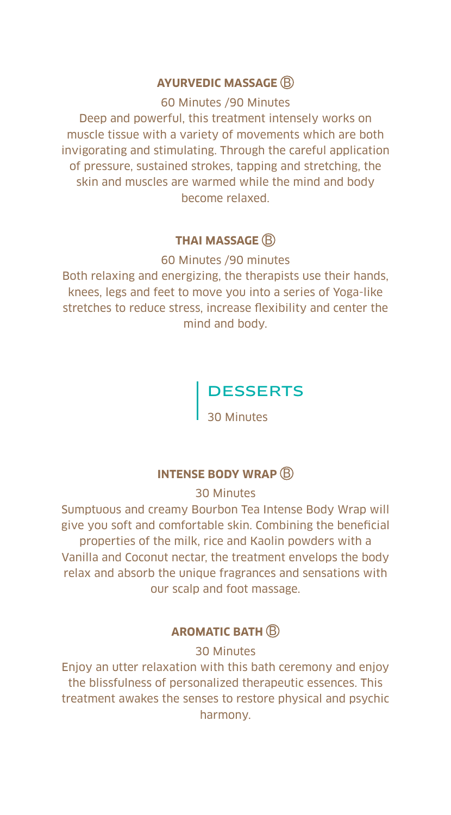#### **AYURVEDIC MASSAGE** B

60 Minutes /90 Minutes

Deep and powerful, this treatment intensely works on muscle tissue with a variety of movements which are both invigorating and stimulating. Through the careful application of pressure, sustained strokes, tapping and stretching, the skin and muscles are warmed while the mind and body become relaxed.

#### **THAI MASSAGE B**

60 Minutes /90 minutes

Both relaxing and energizing, the therapists use their hands, knees, legs and feet to move you into a series of Yoga-like stretches to reduce stress, increase flexibility and center the mind and body.

# DESSERTS

30 Minutes

### **INTENSE BODY WRAP B**

30 Minutes

Sumptuous and creamy Bourbon Tea Intense Body Wrap will give you soft and comfortable skin. Combining the beneficial properties of the milk, rice and Kaolin powders with a Vanilla and Coconut nectar, the treatment envelops the body relax and absorb the unique fragrances and sensations with our scalp and foot massage.

# **AROMATIC BATH B**

30 Minutes

Enjoy an utter relaxation with this bath ceremony and enjoy the blissfulness of personalized therapeutic essences. This treatment awakes the senses to restore physical and psychic harmony.